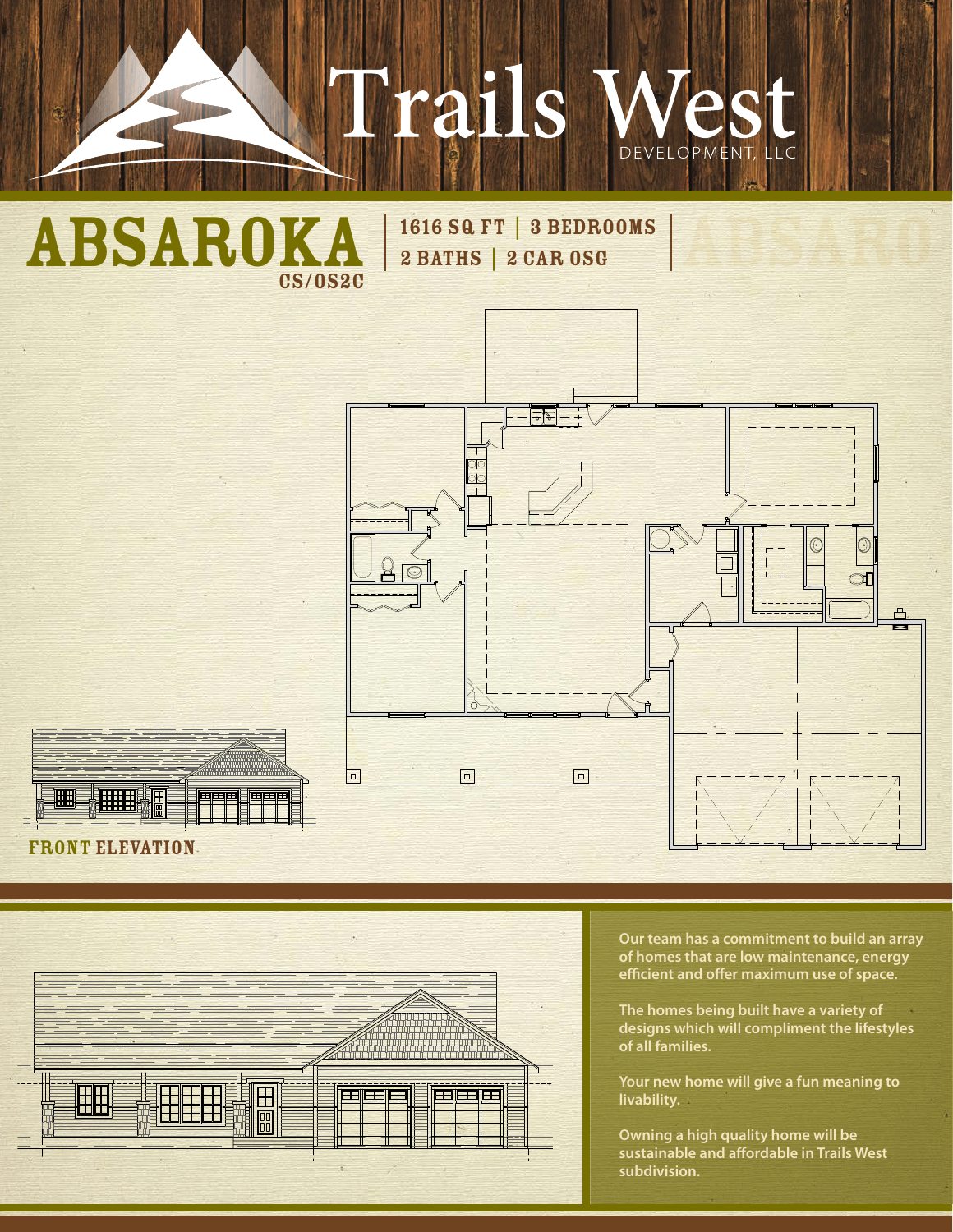# Trails



2 BATHS | 2 CAR OSG







**Our team has a commitment to build an array of homes that are low maintenance, energy efficient and offer maximum use of space.**

**The homes being built have a variety of designs which will compliment the lifestyles of all families.** 

**Your new home will give a fun meaning to livability.**

**Owning a high quality home will be sustainable and affordable in Trails West subdivision.**